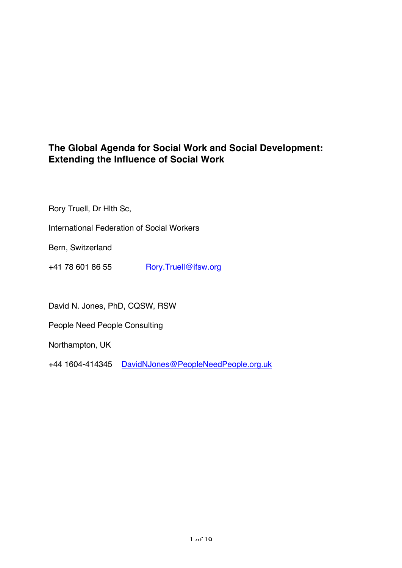## **The Global Agenda for Social Work and Social Development: Extending the Influence of Social Work**

Rory Truell, Dr Hlth Sc,

International Federation of Social Workers

Bern, Switzerland

+41 78 601 86 55 Rory.Truell@ifsw.org

David N. Jones, PhD, CQSW, RSW

People Need People Consulting

Northampton, UK

+44 1604-414345 DavidNJones@PeopleNeedPeople.org.uk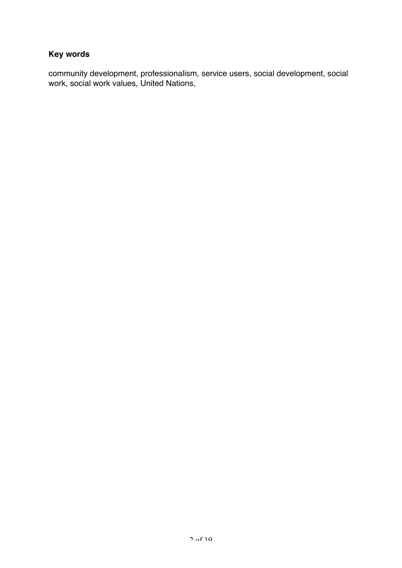### **Key words**

community development, professionalism, service users, social development, social work, social work values, United Nations,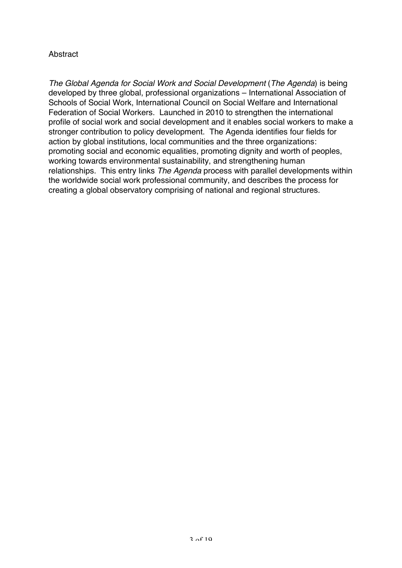#### Abstract

*The Global Agenda for Social Work and Social Development* (*The Agenda*) is being developed by three global, professional organizations – International Association of Schools of Social Work, International Council on Social Welfare and International Federation of Social Workers. Launched in 2010 to strengthen the international profile of social work and social development and it enables social workers to make a stronger contribution to policy development. The Agenda identifies four fields for action by global institutions, local communities and the three organizations: promoting social and economic equalities, promoting dignity and worth of peoples, working towards environmental sustainability, and strengthening human relationships. This entry links *The Agenda* process with parallel developments within the worldwide social work professional community, and describes the process for creating a global observatory comprising of national and regional structures.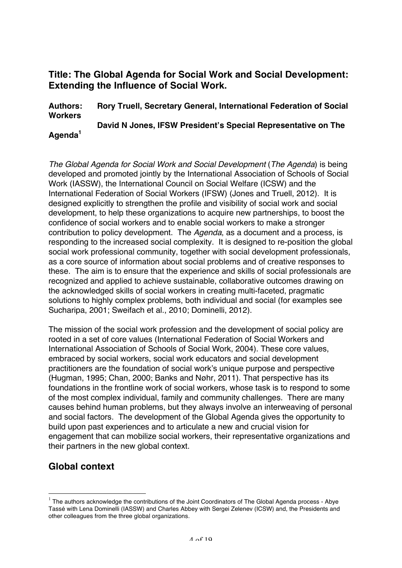## **Title: The Global Agenda for Social Work and Social Development: Extending the Influence of Social Work.**

**Authors: Rory Truell, Secretary General, International Federation of Social Workers David N Jones, IFSW President's Special Representative on The** 

**Agenda<sup>1</sup>**

*The Global Agenda for Social Work and Social Development* (*The Agenda*) is being developed and promoted jointly by the International Association of Schools of Social Work (IASSW), the International Council on Social Welfare (ICSW) and the International Federation of Social Workers (IFSW) (Jones and Truell, 2012). It is designed explicitly to strengthen the profile and visibility of social work and social development, to help these organizations to acquire new partnerships, to boost the confidence of social workers and to enable social workers to make a stronger contribution to policy development. The *Agenda*, as a document and a process, is responding to the increased social complexity. It is designed to re-position the global social work professional community, together with social development professionals, as a core source of information about social problems and of creative responses to these. The aim is to ensure that the experience and skills of social professionals are recognized and applied to achieve sustainable, collaborative outcomes drawing on the acknowledged skills of social workers in creating multi-faceted, pragmatic solutions to highly complex problems, both individual and social (for examples see Sucharipa, 2001; Sweifach et al., 2010; Dominelli, 2012).

The mission of the social work profession and the development of social policy are rooted in a set of core values (International Federation of Social Workers and International Association of Schools of Social Work, 2004). These core values, embraced by social workers, social work educators and social development practitioners are the foundation of social work's unique purpose and perspective (Hugman, 1995; Chan, 2000; Banks and Nøhr, 2011). That perspective has its foundations in the frontline work of social workers, whose task is to respond to some of the most complex individual, family and community challenges. There are many causes behind human problems, but they always involve an interweaving of personal and social factors. The development of the Global Agenda gives the opportunity to build upon past experiences and to articulate a new and crucial vision for engagement that can mobilize social workers, their representative organizations and their partners in the new global context.

## **Global context**

 $1$  The authors acknowledge the contributions of the Joint Coordinators of The Global Agenda process - Abye Tassé with Lena Dominelli (IASSW) and Charles Abbey with Sergei Zelenev (ICSW) and, the Presidents and other colleagues from the three global organizations.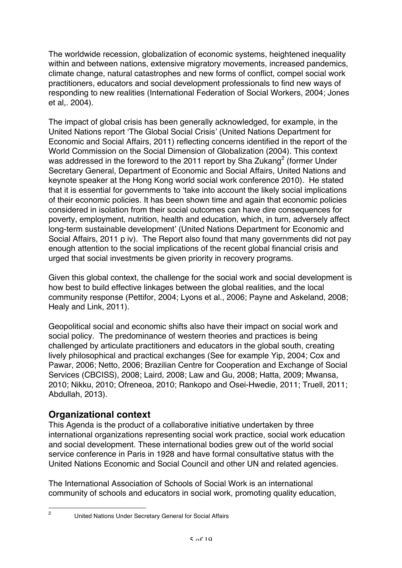The worldwide recession, globalization of economic systems, heightened inequality within and between nations, extensive migratory movements, increased pandemics, climate change, natural catastrophes and new forms of conflict, compel social work practitioners, educators and social development professionals to find new ways of responding to new realities (International Federation of Social Workers, 2004; Jones et al,. 2004).

The impact of global crisis has been generally acknowledged, for example, in the United Nations report 'The Global Social Crisis' (United Nations Department for Economic and Social Affairs, 2011) reflecting concerns identified in the report of the World Commission on the Social Dimension of Globalization (2004). This context was addressed in the foreword to the 2011 report by Sha Zukang<sup>2</sup> (former Under Secretary General, Department of Economic and Social Affairs, United Nations and keynote speaker at the Hong Kong world social work conference 2010). He stated that it is essential for governments to 'take into account the likely social implications of their economic policies. It has been shown time and again that economic policies considered in isolation from their social outcomes can have dire consequences for poverty, employment, nutrition, health and education, which, in turn, adversely affect long-term sustainable development' (United Nations Department for Economic and Social Affairs, 2011 p iv). The Report also found that many governments did not pay enough attention to the social implications of the recent global financial crisis and urged that social investments be given priority in recovery programs.

Given this global context, the challenge for the social work and social development is how best to build effective linkages between the global realities, and the local community response (Pettifor, 2004; Lyons et al., 2006; Payne and Askeland, 2008; Healy and Link, 2011).

Geopolitical social and economic shifts also have their impact on social work and social policy. The predominance of western theories and practices is being challenged by articulate practitioners and educators in the global south, creating lively philosophical and practical exchanges (See for example Yip, 2004; Cox and Pawar, 2006; Netto, 2006; Brazilian Centre for Cooperation and Exchange of Social Services (CBCISS), 2008; Laird, 2008; Law and Gu, 2008; Hatta, 2009; Mwansa, 2010; Nikku, 2010; Ofreneoa, 2010; Rankopo and Osei-Hwedie, 2011; Truell, 2011; Abdullah, 2013).

### **Organizational context**

This Agenda is the product of a collaborative initiative undertaken by three international organizations representing social work practice, social work education and social development. These international bodies grew out of the world social service conference in Paris in 1928 and have formal consultative status with the United Nations Economic and Social Council and other UN and related agencies.

The International Association of Schools of Social Work is an international community of schools and educators in social work, promoting quality education,

 $\overline{2}$ 

<sup>2</sup> United Nations Under Secretary General for Social Affairs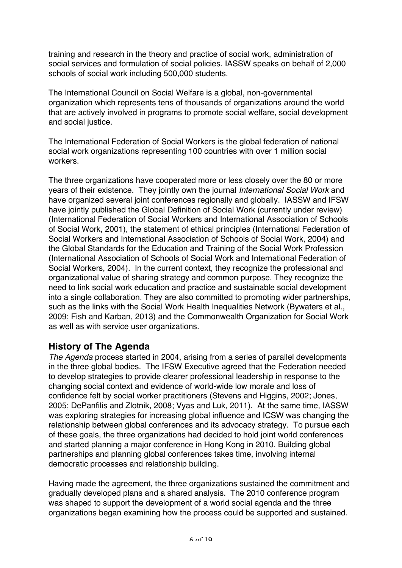training and research in the theory and practice of social work, administration of social services and formulation of social policies. IASSW speaks on behalf of 2,000 schools of social work including 500,000 students.

The International Council on Social Welfare is a global, non-governmental organization which represents tens of thousands of organizations around the world that are actively involved in programs to promote social welfare, social development and social justice.

The International Federation of Social Workers is the global federation of national social work organizations representing 100 countries with over 1 million social workers.

The three organizations have cooperated more or less closely over the 80 or more years of their existence. They jointly own the journal *International Social Work* and have organized several joint conferences regionally and globally. IASSW and IFSW have jointly published the Global Definition of Social Work (currently under review) (International Federation of Social Workers and International Association of Schools of Social Work, 2001), the statement of ethical principles (International Federation of Social Workers and International Association of Schools of Social Work, 2004) and the Global Standards for the Education and Training of the Social Work Profession (International Association of Schools of Social Work and International Federation of Social Workers, 2004). In the current context, they recognize the professional and organizational value of sharing strategy and common purpose. They recognize the need to link social work education and practice and sustainable social development into a single collaboration. They are also committed to promoting wider partnerships, such as the links with the Social Work Health Inequalities Network (Bywaters et al., 2009; Fish and Karban, 2013) and the Commonwealth Organization for Social Work as well as with service user organizations.

### **History of The Agenda**

*The Agenda* process started in 2004, arising from a series of parallel developments in the three global bodies. The IFSW Executive agreed that the Federation needed to develop strategies to provide clearer professional leadership in response to the changing social context and evidence of world-wide low morale and loss of confidence felt by social worker practitioners (Stevens and Higgins, 2002; Jones, 2005; DePanfilis and Zlotnik, 2008; Vyas and Luk, 2011). At the same time, IASSW was exploring strategies for increasing global influence and ICSW was changing the relationship between global conferences and its advocacy strategy. To pursue each of these goals, the three organizations had decided to hold joint world conferences and started planning a major conference in Hong Kong in 2010. Building global partnerships and planning global conferences takes time, involving internal democratic processes and relationship building.

Having made the agreement, the three organizations sustained the commitment and gradually developed plans and a shared analysis. The 2010 conference program was shaped to support the development of a world social agenda and the three organizations began examining how the process could be supported and sustained.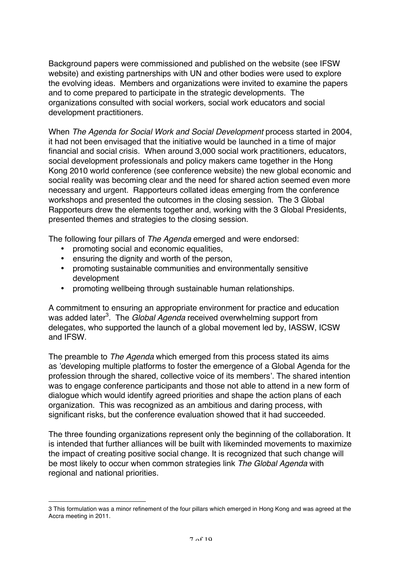Background papers were commissioned and published on the website (see IFSW website) and existing partnerships with UN and other bodies were used to explore the evolving ideas. Members and organizations were invited to examine the papers and to come prepared to participate in the strategic developments. The organizations consulted with social workers, social work educators and social development practitioners.

When *The Agenda for Social Work and Social Development* process started in 2004, it had not been envisaged that the initiative would be launched in a time of major financial and social crisis. When around 3,000 social work practitioners, educators, social development professionals and policy makers came together in the Hong Kong 2010 world conference (see conference website) the new global economic and social reality was becoming clear and the need for shared action seemed even more necessary and urgent. Rapporteurs collated ideas emerging from the conference workshops and presented the outcomes in the closing session. The 3 Global Rapporteurs drew the elements together and, working with the 3 Global Presidents, presented themes and strategies to the closing session.

The following four pillars of *The Agenda* emerged and were endorsed:

- promoting social and economic equalities,
- ensuring the dignity and worth of the person,
- promoting sustainable communities and environmentally sensitive development
- promoting wellbeing through sustainable human relationships.

A commitment to ensuring an appropriate environment for practice and education was added later<sup>3</sup>. The *Global Agenda* received overwhelming support from delegates, who supported the launch of a global movement led by, IASSW, ICSW and IFSW.

The preamble to *The Agenda* which emerged from this process stated its aims as 'developing multiple platforms to foster the emergence of a Global Agenda for the profession through the shared, collective voice of its members'. The shared intention was to engage conference participants and those not able to attend in a new form of dialogue which would identify agreed priorities and shape the action plans of each organization. This was recognized as an ambitious and daring process, with significant risks, but the conference evaluation showed that it had succeeded.

The three founding organizations represent only the beginning of the collaboration. It is intended that further alliances will be built with likeminded movements to maximize the impact of creating positive social change. It is recognized that such change will be most likely to occur when common strategies link *The Global Agenda* with regional and national priorities.

 $\overline{a}$ 3 This formulation was a minor refinement of the four pillars which emerged in Hong Kong and was agreed at the Accra meeting in 2011.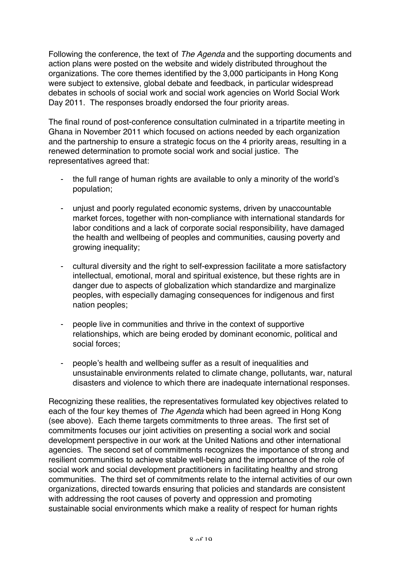Following the conference, the text of *The Agenda* and the supporting documents and action plans were posted on the website and widely distributed throughout the organizations. The core themes identified by the 3,000 participants in Hong Kong were subject to extensive, global debate and feedback, in particular widespread debates in schools of social work and social work agencies on World Social Work Day 2011. The responses broadly endorsed the four priority areas.

The final round of post-conference consultation culminated in a tripartite meeting in Ghana in November 2011 which focused on actions needed by each organization and the partnership to ensure a strategic focus on the 4 priority areas, resulting in a renewed determination to promote social work and social justice. The representatives agreed that:

- the full range of human rights are available to only a minority of the world's population;
- unjust and poorly regulated economic systems, driven by unaccountable market forces, together with non-compliance with international standards for labor conditions and a lack of corporate social responsibility, have damaged the health and wellbeing of peoples and communities, causing poverty and growing inequality;
- cultural diversity and the right to self-expression facilitate a more satisfactory intellectual, emotional, moral and spiritual existence, but these rights are in danger due to aspects of globalization which standardize and marginalize peoples, with especially damaging consequences for indigenous and first nation peoples;
- people live in communities and thrive in the context of supportive relationships, which are being eroded by dominant economic, political and social forces;
- people's health and wellbeing suffer as a result of inequalities and unsustainable environments related to climate change, pollutants, war, natural disasters and violence to which there are inadequate international responses.

Recognizing these realities, the representatives formulated key objectives related to each of the four key themes of *The Agenda* which had been agreed in Hong Kong (see above). Each theme targets commitments to three areas. The first set of commitments focuses our joint activities on presenting a social work and social development perspective in our work at the United Nations and other international agencies. The second set of commitments recognizes the importance of strong and resilient communities to achieve stable well-being and the importance of the role of social work and social development practitioners in facilitating healthy and strong communities. The third set of commitments relate to the internal activities of our own organizations, directed towards ensuring that policies and standards are consistent with addressing the root causes of poverty and oppression and promoting sustainable social environments which make a reality of respect for human rights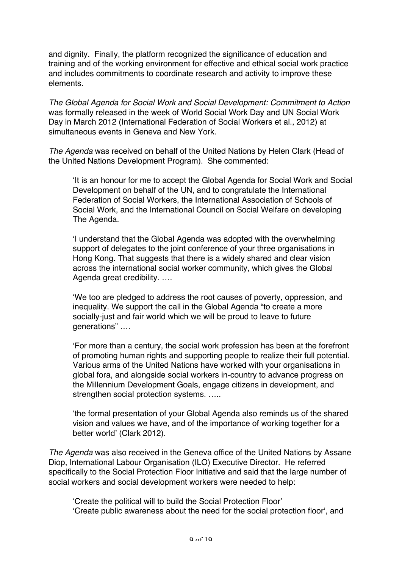and dignity. Finally, the platform recognized the significance of education and training and of the working environment for effective and ethical social work practice and includes commitments to coordinate research and activity to improve these elements.

*The Global Agenda for Social Work and Social Development: Commitment to Action* was formally released in the week of World Social Work Day and UN Social Work Day in March 2012 (International Federation of Social Workers et al., 2012) at simultaneous events in Geneva and New York.

*The Agenda* was received on behalf of the United Nations by Helen Clark (Head of the United Nations Development Program). She commented:

'It is an honour for me to accept the Global Agenda for Social Work and Social Development on behalf of the UN, and to congratulate the International Federation of Social Workers, the International Association of Schools of Social Work, and the International Council on Social Welfare on developing The Agenda.

'I understand that the Global Agenda was adopted with the overwhelming support of delegates to the joint conference of your three organisations in Hong Kong. That suggests that there is a widely shared and clear vision across the international social worker community, which gives the Global Agenda great credibility. ….

'We too are pledged to address the root causes of poverty, oppression, and inequality. We support the call in the Global Agenda "to create a more socially-just and fair world which we will be proud to leave to future generations" ….

'For more than a century, the social work profession has been at the forefront of promoting human rights and supporting people to realize their full potential. Various arms of the United Nations have worked with your organisations in global fora, and alongside social workers in-country to advance progress on the Millennium Development Goals, engage citizens in development, and strengthen social protection systems. …..

'the formal presentation of your Global Agenda also reminds us of the shared vision and values we have, and of the importance of working together for a better world' (Clark 2012).

*The Agenda* was also received in the Geneva office of the United Nations by Assane Diop, International Labour Organisation (ILO) Executive Director. He referred specifically to the Social Protection Floor Initiative and said that the large number of social workers and social development workers were needed to help:

'Create the political will to build the Social Protection Floor' 'Create public awareness about the need for the social protection floor', and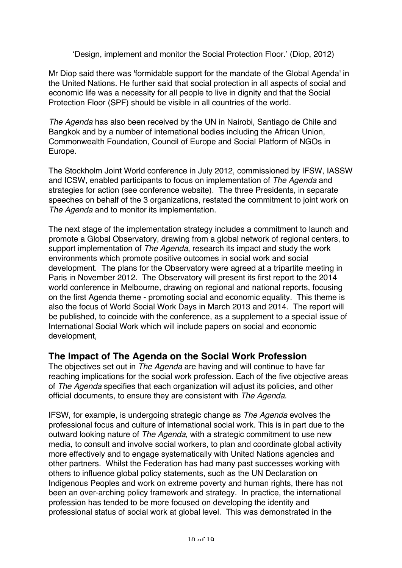'Design, implement and monitor the Social Protection Floor.' (Diop, 2012)

Mr Diop said there was 'formidable support for the mandate of the Global Agenda' in the United Nations. He further said that social protection in all aspects of social and economic life was a necessity for all people to live in dignity and that the Social Protection Floor (SPF) should be visible in all countries of the world.

*The Agenda* has also been received by the UN in Nairobi, Santiago de Chile and Bangkok and by a number of international bodies including the African Union, Commonwealth Foundation, Council of Europe and Social Platform of NGOs in Europe.

The Stockholm Joint World conference in July 2012, commissioned by IFSW, IASSW and ICSW, enabled participants to focus on implementation of *The Agenda* and strategies for action (see conference website). The three Presidents, in separate speeches on behalf of the 3 organizations, restated the commitment to joint work on *The Agenda* and to monitor its implementation.

The next stage of the implementation strategy includes a commitment to launch and promote a Global Observatory, drawing from a global network of regional centers, to support implementation of *The Agenda*, research its impact and study the work environments which promote positive outcomes in social work and social development.The plans for the Observatory were agreed at a tripartite meeting in Paris in November 2012. The Observatory will present its first report to the 2014 world conference in Melbourne, drawing on regional and national reports, focusing on the first Agenda theme - promoting social and economic equality. This theme is also the focus of World Social Work Days in March 2013 and 2014. The report will be published, to coincide with the conference, as a supplement to a special issue of International Social Work which will include papers on social and economic development,

### **The Impact of The Agenda on the Social Work Profession**

The objectives set out in *The Agenda* are having and will continue to have far reaching implications for the social work profession. Each of the five objective areas of *The Agenda* specifies that each organization will adjust its policies, and other official documents, to ensure they are consistent with *The Agenda*.

IFSW, for example, is undergoing strategic change as *The Agenda* evolves the professional focus and culture of international social work. This is in part due to the outward looking nature of *The Agenda*, with a strategic commitment to use new media, to consult and involve social workers, to plan and coordinate global activity more effectively and to engage systematically with United Nations agencies and other partners. Whilst the Federation has had many past successes working with others to influence global policy statements, such as the UN Declaration on Indigenous Peoples and work on extreme poverty and human rights, there has not been an over-arching policy framework and strategy. In practice, the international profession has tended to be more focused on developing the identity and professional status of social work at global level. This was demonstrated in the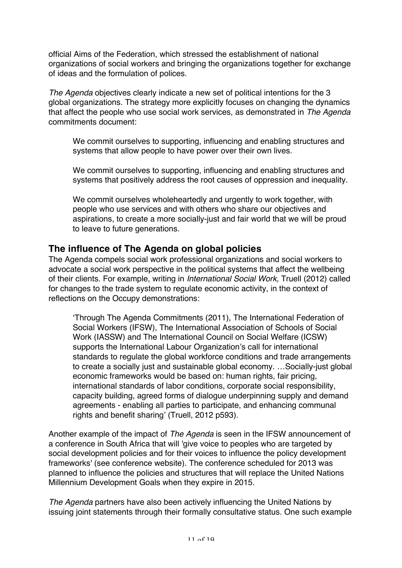official Aims of the Federation, which stressed the establishment of national organizations of social workers and bringing the organizations together for exchange of ideas and the formulation of polices.

*The Agenda* objectives clearly indicate a new set of political intentions for the 3 global organizations. The strategy more explicitly focuses on changing the dynamics that affect the people who use social work services, as demonstrated in *The Agenda* commitments document:

We commit ourselves to supporting, influencing and enabling structures and systems that allow people to have power over their own lives.

We commit ourselves to supporting, influencing and enabling structures and systems that positively address the root causes of oppression and inequality.

We commit ourselves wholeheartedly and urgently to work together, with people who use services and with others who share our objectives and aspirations, to create a more socially-just and fair world that we will be proud to leave to future generations.

#### **The influence of The Agenda on global policies**

The Agenda compels social work professional organizations and social workers to advocate a social work perspective in the political systems that affect the wellbeing of their clients. For example, writing in *International Social Work,* Truell (2012) called for changes to the trade system to regulate economic activity, in the context of reflections on the Occupy demonstrations:

'Through The Agenda Commitments (2011), The International Federation of Social Workers (IFSW), The International Association of Schools of Social Work (IASSW) and The International Council on Social Welfare (ICSW) supports the International Labour Organization's call for international standards to regulate the global workforce conditions and trade arrangements to create a socially just and sustainable global economy. …Socially-just global economic frameworks would be based on: human rights, fair pricing, international standards of labor conditions, corporate social responsibility, capacity building, agreed forms of dialogue underpinning supply and demand agreements - enabling all parties to participate, and enhancing communal rights and benefit sharing' (Truell, 2012 p593).

Another example of the impact of *The Agenda* is seen in the IFSW announcement of a conference in South Africa that will 'give voice to peoples who are targeted by social development policies and for their voices to influence the policy development frameworks' (see conference website). The conference scheduled for 2013 was planned to influence the policies and structures that will replace the United Nations Millennium Development Goals when they expire in 2015.

*The Agenda* partners have also been actively influencing the United Nations by issuing joint statements through their formally consultative status. One such example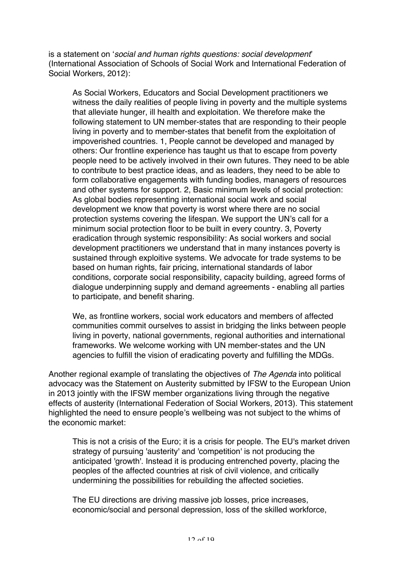is a statement on '*social and human rights questions: social development*' (International Association of Schools of Social Work and International Federation of Social Workers, 2012):

As Social Workers, Educators and Social Development practitioners we witness the daily realities of people living in poverty and the multiple systems that alleviate hunger, ill health and exploitation. We therefore make the following statement to UN member-states that are responding to their people living in poverty and to member-states that benefit from the exploitation of impoverished countries. 1, People cannot be developed and managed by others: Our frontline experience has taught us that to escape from poverty people need to be actively involved in their own futures. They need to be able to contribute to best practice ideas, and as leaders, they need to be able to form collaborative engagements with funding bodies, managers of resources and other systems for support. 2, Basic minimum levels of social protection: As global bodies representing international social work and social development we know that poverty is worst where there are no social protection systems covering the lifespan. We support the UN's call for a minimum social protection floor to be built in every country. 3, Poverty eradication through systemic responsibility: As social workers and social development practitioners we understand that in many instances poverty is sustained through exploitive systems. We advocate for trade systems to be based on human rights, fair pricing, international standards of labor conditions, corporate social responsibility, capacity building, agreed forms of dialogue underpinning supply and demand agreements - enabling all parties to participate, and benefit sharing.

We, as frontline workers, social work educators and members of affected communities commit ourselves to assist in bridging the links between people living in poverty, national governments, regional authorities and international frameworks. We welcome working with UN member-states and the UN agencies to fulfill the vision of eradicating poverty and fulfilling the MDGs.

Another regional example of translating the objectives of *The Agenda* into political advocacy was the Statement on Austerity submitted by IFSW to the European Union in 2013 jointly with the IFSW member organizations living through the negative effects of austerity (International Federation of Social Workers, 2013). This statement highlighted the need to ensure people's wellbeing was not subject to the whims of the economic market:

This is not a crisis of the Euro; it is a crisis for people. The EU's market driven strategy of pursuing 'austerity' and 'competition' is not producing the anticipated 'growth'. Instead it is producing entrenched poverty, placing the peoples of the affected countries at risk of civil violence, and critically undermining the possibilities for rebuilding the affected societies.

The EU directions are driving massive job losses, price increases, economic/social and personal depression, loss of the skilled workforce,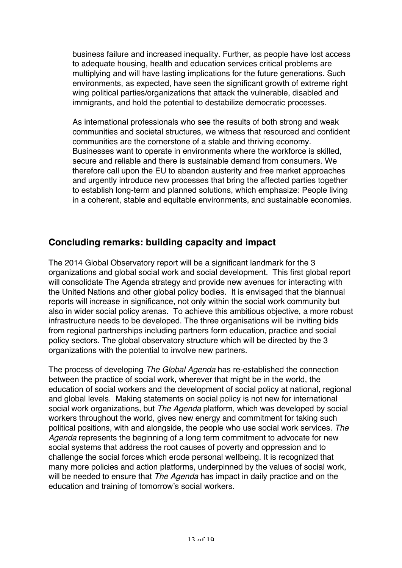business failure and increased inequality. Further, as people have lost access to adequate housing, health and education services critical problems are multiplying and will have lasting implications for the future generations. Such environments, as expected, have seen the significant growth of extreme right wing political parties/organizations that attack the vulnerable, disabled and immigrants, and hold the potential to destabilize democratic processes.

As international professionals who see the results of both strong and weak communities and societal structures, we witness that resourced and confident communities are the cornerstone of a stable and thriving economy. Businesses want to operate in environments where the workforce is skilled, secure and reliable and there is sustainable demand from consumers. We therefore call upon the EU to abandon austerity and free market approaches and urgently introduce new processes that bring the affected parties together to establish long-term and planned solutions, which emphasize: People living in a coherent, stable and equitable environments, and sustainable economies.

## **Concluding remarks: building capacity and impact**

The 2014 Global Observatory report will be a significant landmark for the 3 organizations and global social work and social development. This first global report will consolidate The Agenda strategy and provide new avenues for interacting with the United Nations and other global policy bodies. It is envisaged that the biannual reports will increase in significance, not only within the social work community but also in wider social policy arenas. To achieve this ambitious objective, a more robust infrastructure needs to be developed. The three organisations will be inviting bids from regional partnerships including partners form education, practice and social policy sectors. The global observatory structure which will be directed by the 3 organizations with the potential to involve new partners.

The process of developing *The Global Agenda* has re-established the connection between the practice of social work, wherever that might be in the world, the education of social workers and the development of social policy at national, regional and global levels. Making statements on social policy is not new for international social work organizations, but *The Agenda* platform, which was developed by social workers throughout the world, gives new energy and commitment for taking such political positions, with and alongside, the people who use social work services. *The Agenda* represents the beginning of a long term commitment to advocate for new social systems that address the root causes of poverty and oppression and to challenge the social forces which erode personal wellbeing. It is recognized that many more policies and action platforms, underpinned by the values of social work, will be needed to ensure that *The Agenda* has impact in daily practice and on the education and training of tomorrow's social workers.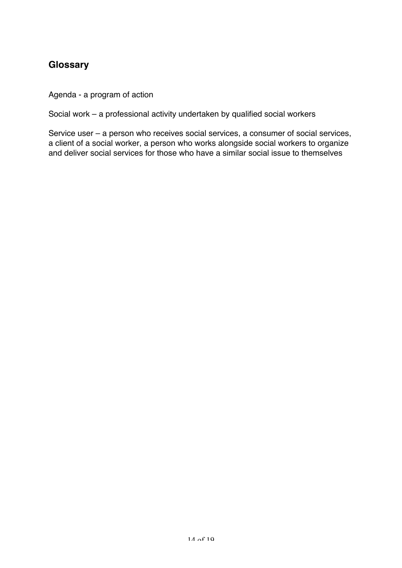# **Glossary**

Agenda - a program of action

Social work – a professional activity undertaken by qualified social workers

Service user – a person who receives social services, a consumer of social services, a client of a social worker, a person who works alongside social workers to organize and deliver social services for those who have a similar social issue to themselves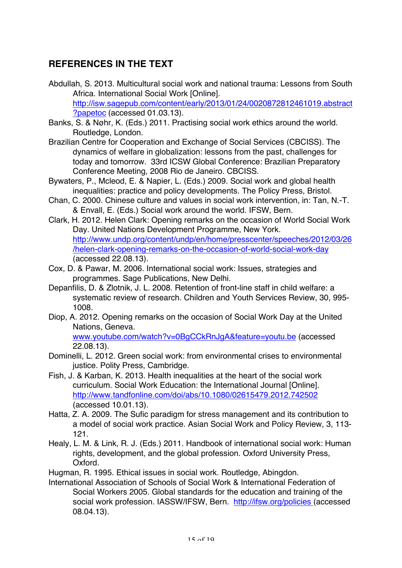## **REFERENCES IN THE TEXT**

- Abdullah, S. 2013. Multicultural social work and national trauma: Lessons from South Africa. International Social Work [Online]. http://isw.sagepub.com/content/early/2013/01/24/0020872812461019.abstract ?papetoc (accessed 01.03.13).
- Banks, S. & Nøhr, K. (Eds.) 2011. Practising social work ethics around the world. Routledge, London.
- Brazilian Centre for Cooperation and Exchange of Social Services (CBCISS). The dynamics of welfare in globalization: lessons from the past, challenges for today and tomorrow. 33rd ICSW Global Conference: Brazilian Preparatory Conference Meeting, 2008 Rio de Janeiro. CBCISS.
- Bywaters, P., Mcleod, E. & Napier, L. (Eds.) 2009. Social work and global health inequalities: practice and policy developments. The Policy Press, Bristol.
- Chan, C. 2000. Chinese culture and values in social work intervention, in: Tan, N.-T. & Envall, E. (Eds.) Social work around the world. IFSW, Bern.
- Clark, H. 2012. Helen Clark: Opening remarks on the occasion of World Social Work Day. United Nations Development Programme, New York. http://www.undp.org/content/undp/en/home/presscenter/speeches/2012/03/26 /helen-clark-opening-remarks-on-the-occasion-of-world-social-work-day (accessed 22.08.13).
- Cox, D. & Pawar, M. 2006. International social work: Issues, strategies and programmes. Sage Publications, New Delhi.
- Depanfilis, D. & Zlotnik, J. L. 2008. Retention of front-line staff in child welfare: a systematic review of research. Children and Youth Services Review, 30, 995- 1008.
- Diop, A. 2012. Opening remarks on the occasion of Social Work Day at the United Nations, Geneva.

www.youtube.com/watch?v=0BgCCkRnJgA&feature=youtu.be (accessed 22.08.13).

- Dominelli, L. 2012. Green social work: from environmental crises to environmental justice. Polity Press, Cambridge.
- Fish, J. & Karban, K. 2013. Health inequalities at the heart of the social work curriculum. Social Work Education: the International Journal [Online]. http://www.tandfonline.com/doi/abs/10.1080/02615479.2012.742502 (accessed 10.01.13).
- Hatta, Z. A. 2009. The Sufic paradigm for stress management and its contribution to a model of social work practice. Asian Social Work and Policy Review, 3, 113- 121.
- Healy, L. M. & Link, R. J. (Eds.) 2011. Handbook of international social work: Human rights, development, and the global profession. Oxford University Press, Oxford.
- Hugman, R. 1995. Ethical issues in social work. Routledge, Abingdon.
- International Association of Schools of Social Work & International Federation of Social Workers 2005. Global standards for the education and training of the social work profession. IASSW/IFSW, Bern. http://ifsw.org/policies (accessed 08.04.13).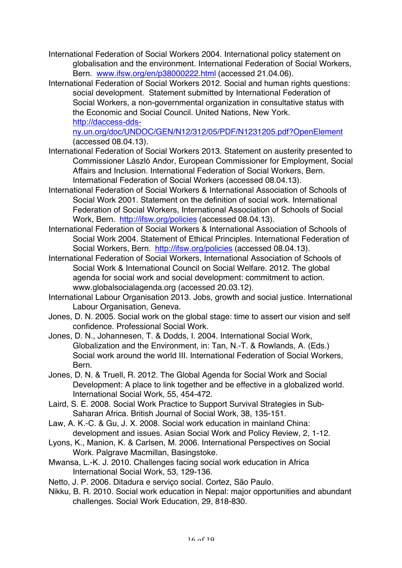- International Federation of Social Workers 2004. International policy statement on globalisation and the environment. International Federation of Social Workers, Bern. www.ifsw.org/en/p38000222.html (accessed 21.04.06).
- International Federation of Social Workers 2012. Social and human rights questions: social development. Statement submitted by International Federation of Social Workers, a non-governmental organization in consultative status with the Economic and Social Council. United Nations, New York. http://daccess-dds-

ny.un.org/doc/UNDOC/GEN/N12/312/05/PDF/N1231205.pdf?OpenElement (accessed 08.04.13).

- International Federation of Social Workers 2013. Statement on austerity presented to Commissioner László Andor, European Commissioner for Employment, Social Affairs and Inclusion. International Federation of Social Workers, Bern. International Federation of Social Workers (accessed 08.04.13).
- International Federation of Social Workers & International Association of Schools of Social Work 2001. Statement on the definition of social work. International Federation of Social Workers, International Association of Schools of Social Work, Bern. http://ifsw.org/policies (accessed 08.04.13).
- International Federation of Social Workers & International Association of Schools of Social Work 2004. Statement of Ethical Principles. International Federation of Social Workers, Bern. http://ifsw.org/policies (accessed 08.04.13).
- International Federation of Social Workers, International Association of Schools of Social Work & International Council on Social Welfare. 2012. The global agenda for social work and social development: commitment to action. www.globalsocialagenda.org (accessed 20.03.12).
- International Labour Organisation 2013. Jobs, growth and social justice. International Labour Organisation, Geneva.
- Jones, D. N. 2005. Social work on the global stage: time to assert our vision and self confidence. Professional Social Work.
- Jones, D. N., Johannesen, T. & Dodds, I. 2004. International Social Work, Globalization and the Environment, in: Tan, N.-T. & Rowlands, A. (Eds.) Social work around the world III. International Federation of Social Workers, Bern.
- Jones, D. N. & Truell, R. 2012. The Global Agenda for Social Work and Social Development: A place to link together and be effective in a globalized world. International Social Work, 55, 454-472.
- Laird, S. E. 2008. Social Work Practice to Support Survival Strategies in Sub-Saharan Africa. British Journal of Social Work, 38, 135-151.
- Law, A. K.-C. & Gu, J. X. 2008. Social work education in mainland China: development and issues. Asian Social Work and Policy Review, 2, 1-12.
- Lyons, K., Manion, K. & Carlsen, M. 2006. International Perspectives on Social Work. Palgrave Macmillan, Basingstoke.
- Mwansa, L.-K. J. 2010. Challenges facing social work education in Africa International Social Work, 53, 129-136.
- Netto, J. P. 2006. Ditadura e serviço social. Cortez, São Paulo.
- Nikku, B. R. 2010. Social work education in Nepal: major opportunities and abundant challenges. Social Work Education, 29, 818-830.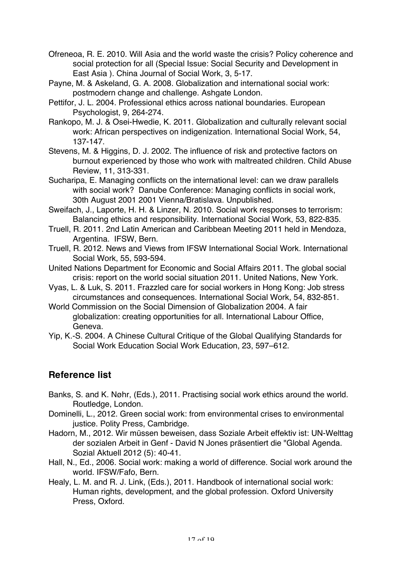- Ofreneoa, R. E. 2010. Will Asia and the world waste the crisis? Policy coherence and social protection for all (Special Issue: Social Security and Development in East Asia ). China Journal of Social Work, 3, 5-17.
- Payne, M. & Askeland, G. A. 2008. Globalization and international social work: postmodern change and challenge. Ashgate London.
- Pettifor, J. L. 2004. Professional ethics across national boundaries. European Psychologist, 9, 264-274.
- Rankopo, M. J. & Osei-Hwedie, K. 2011. Globalization and culturally relevant social work: African perspectives on indigenization. International Social Work, 54, 137-147.
- Stevens, M. & Higgins, D. J. 2002. The influence of risk and protective factors on burnout experienced by those who work with maltreated children. Child Abuse Review, 11, 313-331.
- Sucharipa, E. Managing conflicts on the international level: can we draw parallels with social work? Danube Conference: Managing conflicts in social work, 30th August 2001 2001 Vienna/Bratislava. Unpublished.
- Sweifach, J., Laporte, H. H. & Linzer, N. 2010. Social work responses to terrorism: Balancing ethics and responsibility. International Social Work, 53, 822-835.
- Truell, R. 2011. 2nd Latin American and Caribbean Meeting 2011 held in Mendoza, Argentina. IFSW, Bern.
- Truell, R. 2012. News and Views from IFSW International Social Work. International Social Work, 55, 593-594.
- United Nations Department for Economic and Social Affairs 2011. The global social crisis: report on the world social situation 2011. United Nations, New York.
- Vyas, L. & Luk, S. 2011. Frazzled care for social workers in Hong Kong: Job stress circumstances and consequences. International Social Work, 54, 832-851.
- World Commission on the Social Dimension of Globalization 2004. A fair globalization: creating opportunities for all. International Labour Office, Geneva.
- Yip, K.-S. 2004. A Chinese Cultural Critique of the Global Qualifying Standards for Social Work Education Social Work Education, 23, 597–612.

# **Reference list**

- Banks, S. and K. Nøhr, (Eds.), 2011. Practising social work ethics around the world. Routledge, London.
- Dominelli, L., 2012. Green social work: from environmental crises to environmental justice. Polity Press, Cambridge.
- Hadorn, M., 2012. Wir müssen beweisen, dass Soziale Arbeit effektiv ist: UN-Welttag der sozialen Arbeit in Genf - David N Jones präsentiert die "Global Agenda. Sozial Aktuell 2012 (5): 40-41.
- Hall, N., Ed., 2006. Social work: making a world of difference. Social work around the world. IFSW/Fafo, Bern.
- Healy, L. M. and R. J. Link, (Eds.), 2011. Handbook of international social work: Human rights, development, and the global profession. Oxford University Press, Oxford.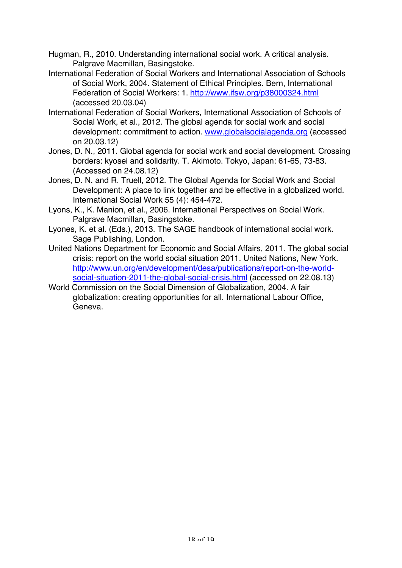Hugman, R., 2010. Understanding international social work. A critical analysis. Palgrave Macmillan, Basingstoke.

- International Federation of Social Workers and International Association of Schools of Social Work, 2004. Statement of Ethical Principles. Bern, International Federation of Social Workers: 1. http://www.ifsw.org/p38000324.html (accessed 20.03.04)
- International Federation of Social Workers, International Association of Schools of Social Work, et al., 2012. The global agenda for social work and social development: commitment to action. www.globalsocialagenda.org (accessed on 20.03.12)
- Jones, D. N., 2011. Global agenda for social work and social development. Crossing borders: kyosei and solidarity. T. Akimoto. Tokyo, Japan: 61-65, 73-83. (Accessed on 24.08.12)
- Jones, D. N. and R. Truell, 2012. The Global Agenda for Social Work and Social Development: A place to link together and be effective in a globalized world. International Social Work 55 (4): 454-472.
- Lyons, K., K. Manion, et al., 2006. International Perspectives on Social Work. Palgrave Macmillan, Basingstoke.
- Lyones, K. et al. (Eds.), 2013. The SAGE handbook of international social work. Sage Publishing, London.
- United Nations Department for Economic and Social Affairs, 2011. The global social crisis: report on the world social situation 2011. United Nations, New York. http://www.un.org/en/development/desa/publications/report-on-the-worldsocial-situation-2011-the-global-social-crisis.html (accessed on 22.08.13)
- World Commission on the Social Dimension of Globalization, 2004. A fair globalization: creating opportunities for all. International Labour Office, Geneva.